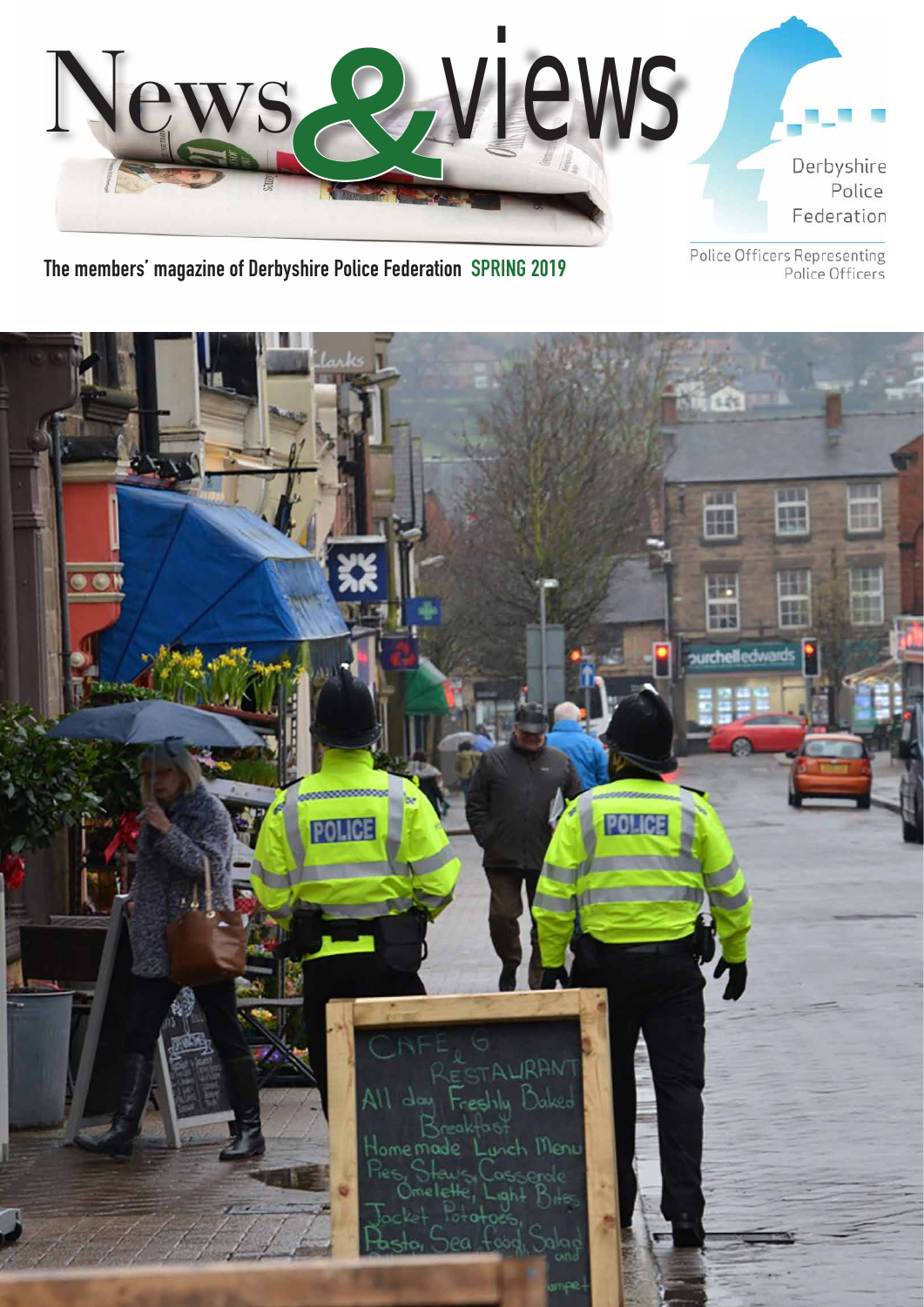

**The members' magazine of Derbyshire Police Federation SPRING 2019**

Police Officers Representing Police Officers

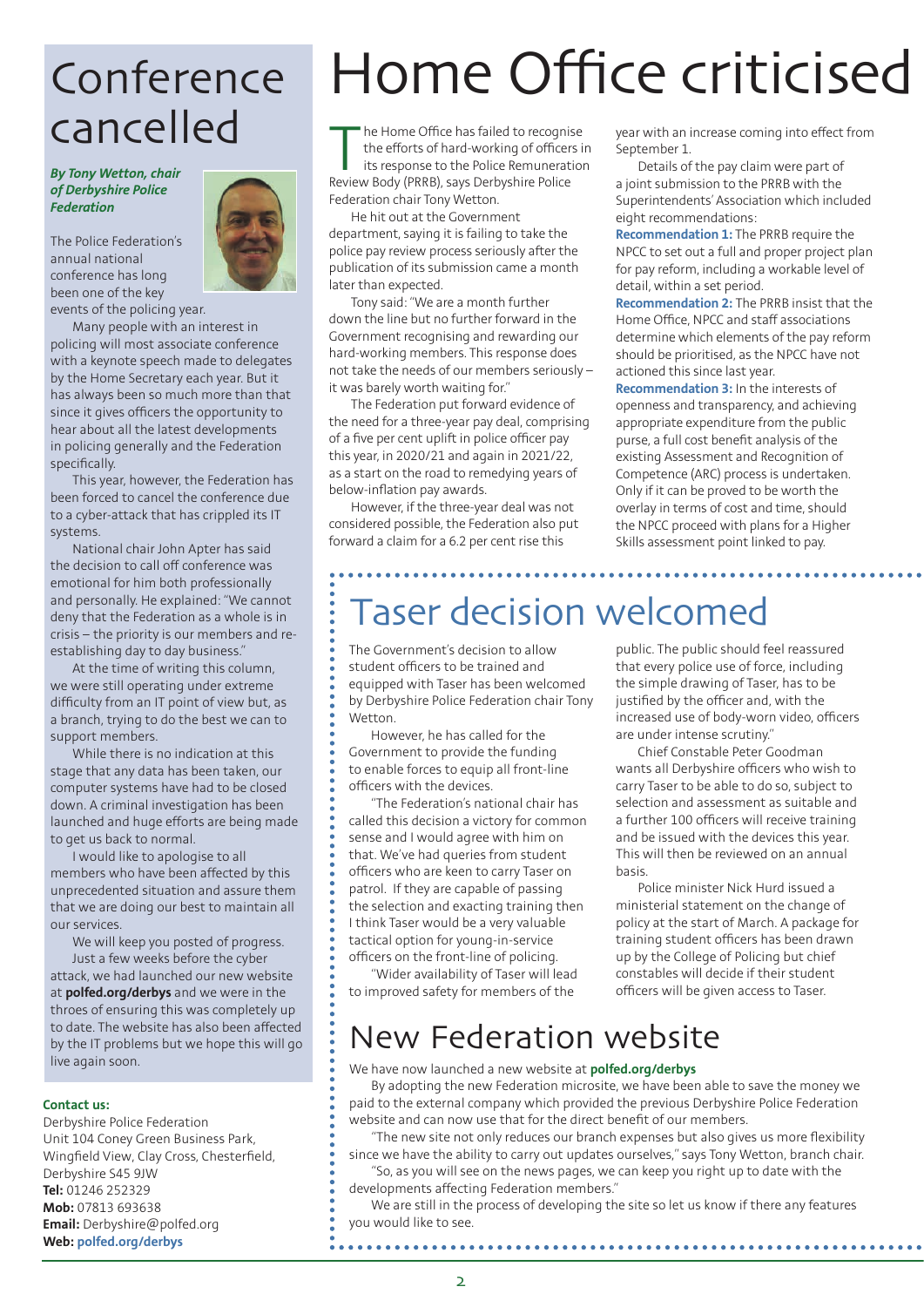# **Conference** cancelled

*By Tony Wetton, chair of Derbyshire Police Federation*

The Police Federation's annual national conference has long been one of the key events of the policing year.



This year, however, the Federation has been forced to cancel the conference due to a cyber-attack that has crippled its IT systems.

National chair John Apter has said the decision to call off conference was emotional for him both professionally and personally. He explained: "We cannot deny that the Federation as a whole is in crisis – the priority is our members and reestablishing day to day business."

At the time of writing this column, we were still operating under extreme difficulty from an IT point of view but, as a branch, trying to do the best we can to support members.

While there is no indication at this stage that any data has been taken, our computer systems have had to be closed down. A criminal investigation has been launched and huge efforts are being made to get us back to normal.

I would like to apologise to all members who have been affected by this unprecedented situation and assure them that we are doing our best to maintain all our services.

We will keep you posted of progress.

Just a few weeks before the cyber attack, we had launched our new website at **polfed.org/derbys** and we were in the throes of ensuring this was completely up to date. The website has also been affected by the IT problems but we hope this will go live again soon.

#### **Contact us:**

Derbyshire Police Federation Unit 104 Coney Green Business Park, Wingfield View, Clay Cross, Chesterfield, Derbyshire S45 9JW **Tel:** 01246 252329 **Mob:** 07813 693638 **Email:** Derbyshire@polfed.org **Web: polfed.org/derbys**

# Home Office criticised

The Home Office has failed to recognise<br>the efforts of hard-working of officers is<br>its response to the Police Remuneration<br>Review Body (PRRB) says Derbyshire Police the efforts of hard-working of officers in its response to the Police Remuneration Review Body (PRRB), says Derbyshire Police Federation chair Tony Wetton.

He hit out at the Government department, saying it is failing to take the police pay review process seriously after the publication of its submission came a month later than expected.

Tony said: "We are a month further down the line but no further forward in the Government recognising and rewarding our hard-working members. This response does not take the needs of our members seriously – it was barely worth waiting for."

The Federation put forward evidence of the need for a three-year pay deal, comprising of a five per cent uplift in police officer pay this year, in 2020/21 and again in 2021/22, as a start on the road to remedying years of below-inflation pay awards.

However, if the three-year deal was not considered possible, the Federation also put forward a claim for a 6.2 per cent rise this

year with an increase coming into effect from September 1.

Details of the pay claim were part of a joint submission to the PRRB with the Superintendents' Association which included eight recommendations:

**Recommendation 1:** The PRRB require the NPCC to set out a full and proper project plan for pay reform, including a workable level of detail, within a set period.

**Recommendation 2:** The PRRB insist that the Home Office, NPCC and staff associations determine which elements of the pay reform should be prioritised, as the NPCC have not actioned this since last year.

**Recommendation 3:** In the interests of openness and transparency, and achieving appropriate expenditure from the public purse, a full cost benefit analysis of the existing Assessment and Recognition of Competence (ARC) process is undertaken. Only if it can be proved to be worth the overlay in terms of cost and time, should the NPCC proceed with plans for a Higher Skills assessment point linked to pay.

## Taser decision welcomed

The Government's decision to allow student officers to be trained and equipped with Taser has been welcomed by Derbyshire Police Federation chair Tony **Wetton** 

However, he has called for the Government to provide the funding to enable forces to equip all front-line officers with the devices.

"The Federation's national chair has called this decision a victory for common sense and I would agree with him on that. We've had queries from student officers who are keen to carry Taser on patrol. If they are capable of passing the selection and exacting training then I think Taser would be a very valuable tactical option for young-in-service officers on the front-line of policing.

"Wider availability of Taser will lead to improved safety for members of the

public. The public should feel reassured that every police use of force, including the simple drawing of Taser, has to be justified by the officer and, with the increased use of body-worn video, officers are under intense scrutiny."

Chief Constable Peter Goodman wants all Derbyshire officers who wish to carry Taser to be able to do so, subject to selection and assessment as suitable and a further 100 officers will receive training and be issued with the devices this year. This will then be reviewed on an annual basis.

Police minister Nick Hurd issued a ministerial statement on the change of policy at the start of March. A package for training student officers has been drawn up by the College of Policing but chief constables will decide if their student officers will be given access to Taser.

## New Federation website

We have now launched a new website at **polfed.org/derbys**

By adopting the new Federation microsite, we have been able to save the money we paid to the external company which provided the previous Derbyshire Police Federation website and can now use that for the direct benefit of our members.

"The new site not only reduces our branch expenses but also gives us more flexibility since we have the ability to carry out updates ourselves," says Tony Wetton, branch chair. "So, as you will see on the news pages, we can keep you right up to date with the

developments affecting Federation members."

We are still in the process of developing the site so let us know if there any features you would like to see.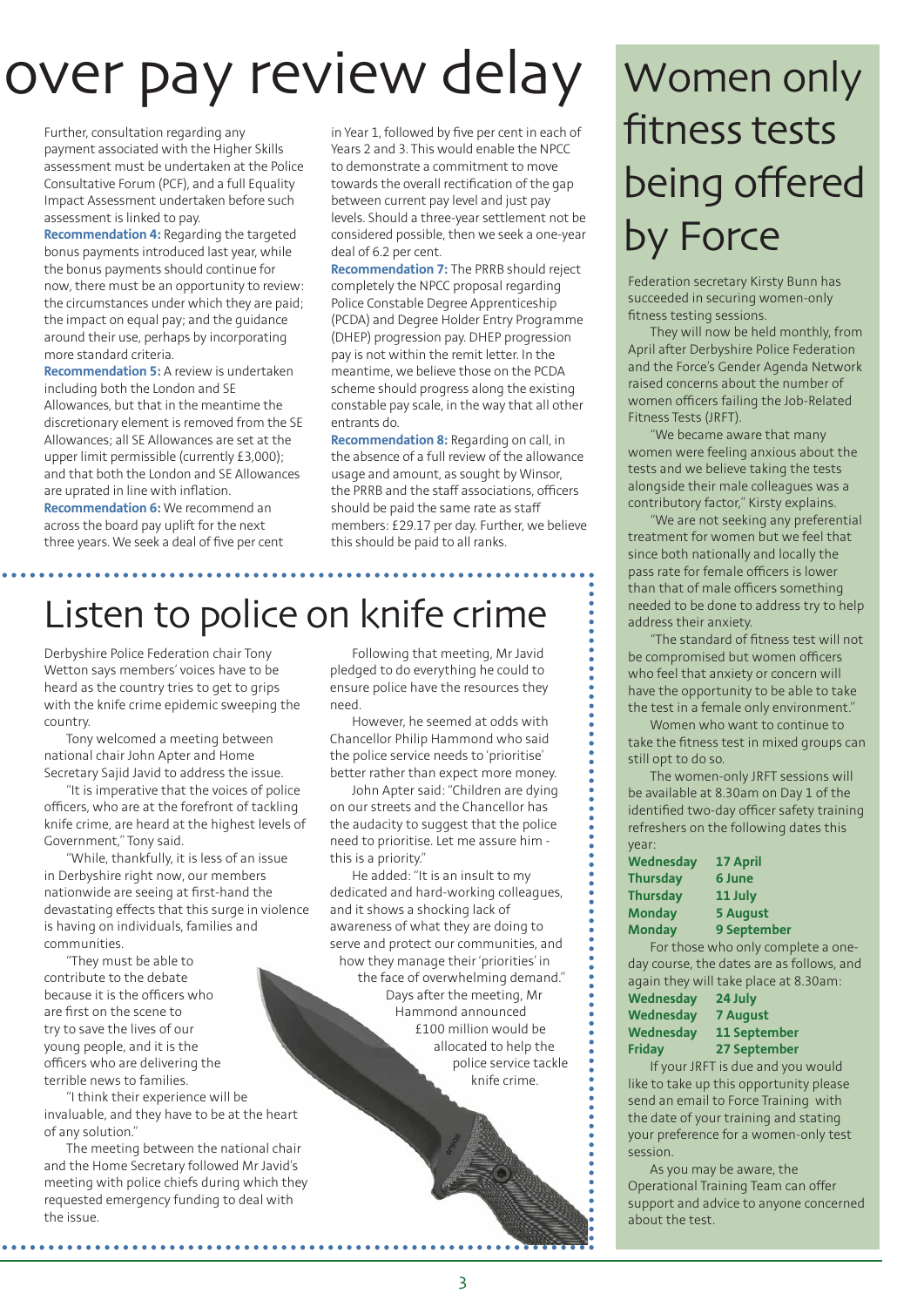# over pay review delay

Further, consultation regarding any payment associated with the Higher Skills assessment must be undertaken at the Police Consultative Forum (PCF), and a full Equality Impact Assessment undertaken before such assessment is linked to pay.

**Recommendation 4:** Regarding the targeted bonus payments introduced last year, while the bonus payments should continue for now, there must be an opportunity to review: the circumstances under which they are paid; the impact on equal pay; and the guidance around their use, perhaps by incorporating more standard criteria.

**Recommendation 5:** A review is undertaken including both the London and SE Allowances, but that in the meantime the discretionary element is removed from the SE Allowances; all SE Allowances are set at the upper limit permissible (currently £3,000); and that both the London and SE Allowances are uprated in line with inflation. **Recommendation 6:** We recommend an

across the board pay uplift for the next three years. We seek a deal of five per cent in Year 1, followed by five per cent in each of Years 2 and 3. This would enable the NPCC to demonstrate a commitment to move towards the overall rectification of the gap between current pay level and just pay levels. Should a three-year settlement not be considered possible, then we seek a one-year deal of 6.2 per cent.

**Recommendation 7:** The PRRB should reject completely the NPCC proposal regarding Police Constable Degree Apprenticeship (PCDA) and Degree Holder Entry Programme (DHEP) progression pay. DHEP progression pay is not within the remit letter. In the meantime, we believe those on the PCDA scheme should progress along the existing constable pay scale, in the way that all other entrants do.

**Recommendation 8:** Regarding on call, in the absence of a full review of the allowance usage and amount, as sought by Winsor, the PRRB and the staff associations, officers should be paid the same rate as staff members: £29.17 per day. Further, we believe this should be paid to all ranks.

## Listen to police on knife crime

Derbyshire Police Federation chair Tony Wetton says members' voices have to be heard as the country tries to get to grips with the knife crime epidemic sweeping the country.

Tony welcomed a meeting between national chair John Apter and Home Secretary Sajid Javid to address the issue.

"It is imperative that the voices of police officers, who are at the forefront of tackling knife crime, are heard at the highest levels of Government," Tony said.

"While, thankfully, it is less of an issue in Derbyshire right now, our members nationwide are seeing at first-hand the devastating effects that this surge in violence is having on individuals, families and communities.

"They must be able to contribute to the debate because it is the officers who are first on the scene to try to save the lives of our young people, and it is the officers who are delivering the terrible news to families.

"I think their experience will be invaluable, and they have to be at the heart of any solution."

The meeting between the national chair and the Home Secretary followed Mr Javid's meeting with police chiefs during which they requested emergency funding to deal with the issue.

Following that meeting, Mr Javid pledged to do everything he could to ensure police have the resources they need.

However, he seemed at odds with Chancellor Philip Hammond who said the police service needs to 'prioritise' better rather than expect more money.

John Apter said: "Children are dying on our streets and the Chancellor has the audacity to suggest that the police need to prioritise. Let me assure him this is a priority."

He added: "It is an insult to my dedicated and hard-working colleagues, and it shows a shocking lack of awareness of what they are doing to serve and protect our communities, and how they manage their 'priorities' in the face of overwhelming demand." Days after the meeting, Mr Hammond announced £100 million would be allocated to help the police service tackle knife crime.

# Women only fitness tests being offered by Force

Federation secretary Kirsty Bunn has succeeded in securing women-only fitness testing sessions.

They will now be held monthly, from April after Derbyshire Police Federation and the Force's Gender Agenda Network raised concerns about the number of women officers failing the Job-Related Fitness Tests (JRFT).

"We became aware that many women were feeling anxious about the tests and we believe taking the tests alongside their male colleagues was a contributory factor," Kirsty explains.

"We are not seeking any preferential treatment for women but we feel that since both nationally and locally the pass rate for female officers is lower than that of male officers something needed to be done to address try to help address their anxiety.

"The standard of fitness test will not be compromised but women officers who feel that anxiety or concern will have the opportunity to be able to take the test in a female only environment."

Women who want to continue to take the fitness test in mixed groups can still opt to do so.

The women-only JRFT sessions will be available at 8.30am on Day 1 of the identified two-day officer safety training refreshers on the following dates this year:

| ycar.            |             |
|------------------|-------------|
| <b>Wednesday</b> | 17 April    |
| <b>Thursday</b>  | 6 June      |
| <b>Thursday</b>  | 11 July     |
| <b>Monday</b>    | 5 August    |
| <b>Monday</b>    | 9 September |
|                  |             |

For those who only complete a oneday course, the dates are as follows, and again they will take place at 8.30am:

| Wednesday        | 24 July      |
|------------------|--------------|
| <b>Wednesday</b> | 7 August     |
| <b>Wednesday</b> | 11 September |
| <b>Friday</b>    | 27 September |
|                  |              |

If your JRFT is due and you would like to take up this opportunity please send an email to Force Training with the date of your training and stating your preference for a women-only test session.

As you may be aware, the Operational Training Team can offer support and advice to anyone concerned about the test.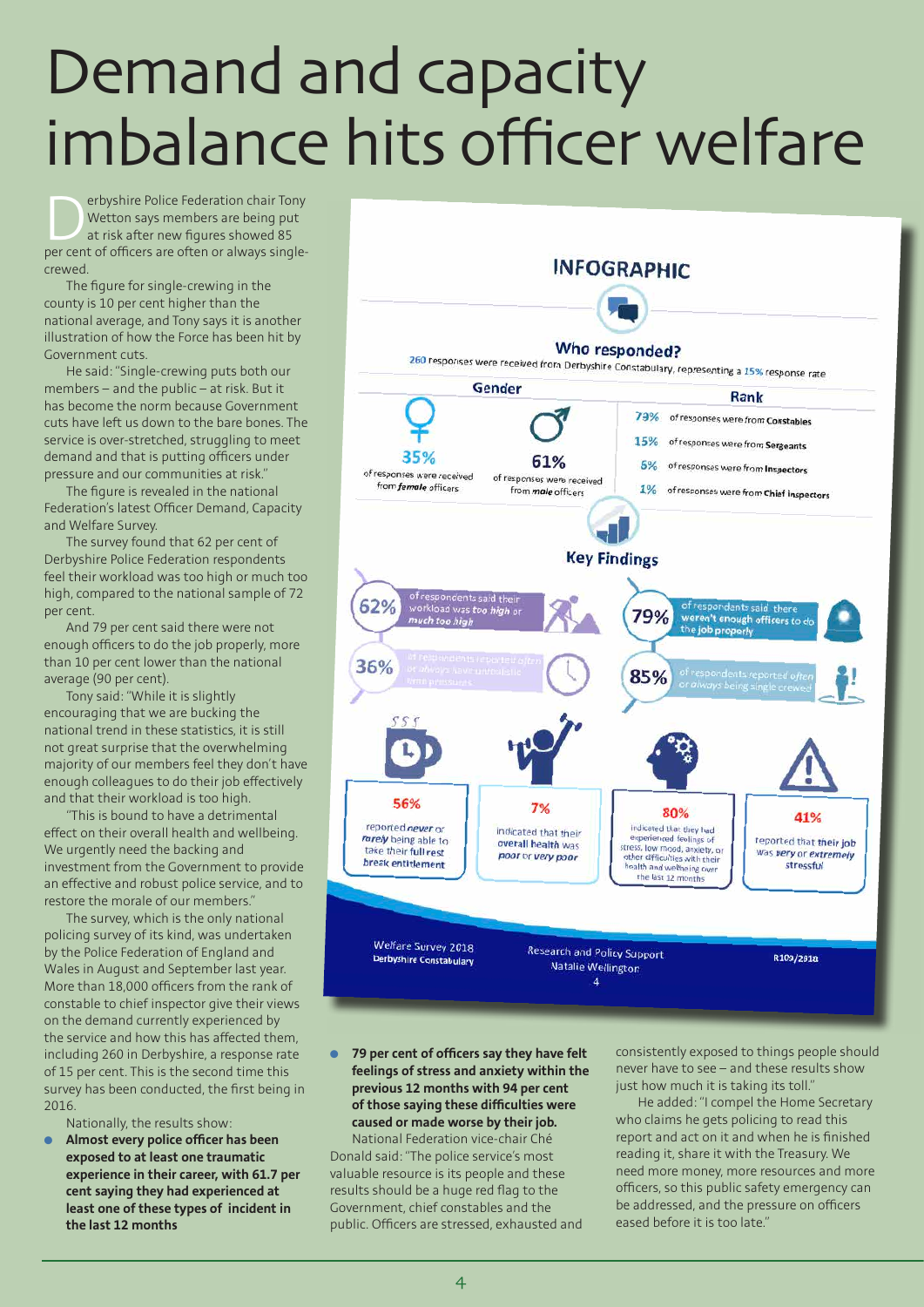# Demand and capacity imbalance hits officer welfare

erbyshire Police Federation chair Tony<br>
Wetton says members are being put<br>
at risk after new figures showed 85<br>
per cent of officers are often or always single-Wetton says members are being put at risk after new figures showed 85 crewed.

The figure for single-crewing in the county is 10 per cent higher than the national average, and Tony says it is another illustration of how the Force has been hit by Government cuts.

He said: "Single-crewing puts both our members – and the public – at risk. But it has become the norm because Government cuts have left us down to the bare bones. The service is over-stretched, struggling to meet demand and that is putting officers under pressure and our communities at risk."

The figure is revealed in the national Federation's latest Officer Demand, Capacity and Welfare Survey.

The survey found that 62 per cent of Derbyshire Police Federation respondents feel their workload was too high or much too high, compared to the national sample of 72 per cent.

And 79 per cent said there were not enough officers to do the job properly, more than 10 per cent lower than the national average (90 per cent).

Tony said: "While it is slightly encouraging that we are bucking the national trend in these statistics, it is still not great surprise that the overwhelming majority of our members feel they don't have enough colleagues to do their job effectively and that their workload is too high.

"This is bound to have a detrimental effect on their overall health and wellbeing. We urgently need the backing and investment from the Government to provide an effective and robust police service, and to restore the morale of our members."

The survey, which is the only national policing survey of its kind, was undertaken by the Police Federation of England and Wales in August and September last year. More than 18,000 officers from the rank of constable to chief inspector give their views on the demand currently experienced by the service and how this has affected them, including 260 in Derbyshire, a response rate of 15 per cent. This is the second time this survey has been conducted, the first being in 2016.

Nationally, the results show:

**•** Almost every police officer has been **exposed to at least one traumatic experience in their career, with 61.7 per cent saying they had experienced at least one of these types of incident in the last 12 months**



l **79 per cent of officers say they have felt feelings of stress and anxiety within the previous 12 months with 94 per cent of those saying these difficulties were caused or made worse by their job.** National Federation vice-chair Ché

Donald said: "The police service's most valuable resource is its people and these results should be a huge red flag to the Government, chief constables and the public. Officers are stressed, exhausted and consistently exposed to things people should never have to see – and these results show just how much it is taking its toll."

He added: "I compel the Home Secretary who claims he gets policing to read this report and act on it and when he is finished reading it, share it with the Treasury. We need more money, more resources and more officers, so this public safety emergency can be addressed, and the pressure on officers eased before it is too late."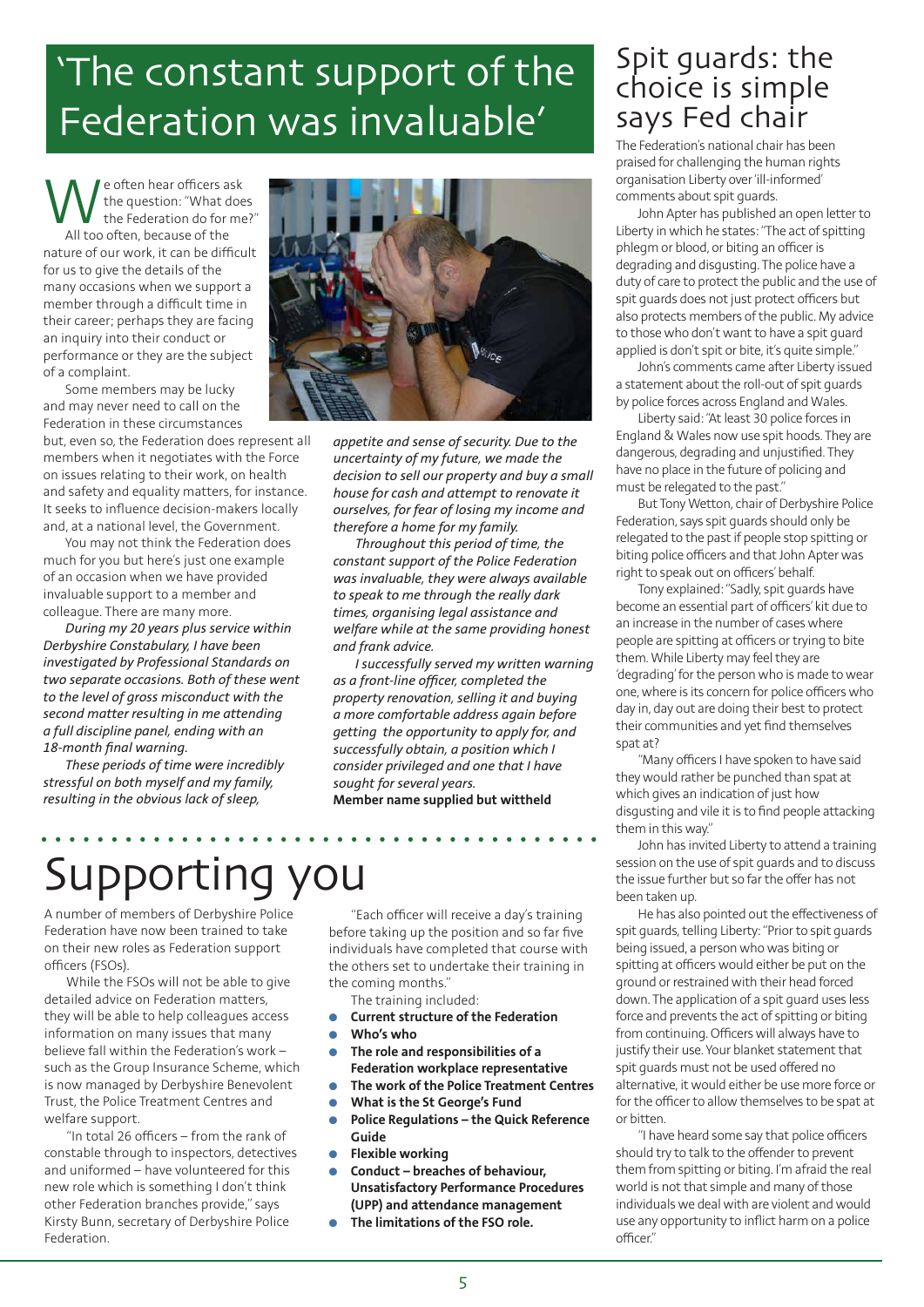## 'The constant support of the Federation was invaluable'

We often hear officers ask<br>the question: "What doe<br>All too often because of the the question: "What does the Federation do for me?" All too often, because of the nature of our work, it can be difficult for us to give the details of the many occasions when we support a member through a difficult time in their career; perhaps they are facing an inquiry into their conduct or performance or they are the subject of a complaint.

Some members may be lucky and may never need to call on the Federation in these circumstances

but, even so, the Federation does represent all members when it negotiates with the Force on issues relating to their work, on health and safety and equality matters, for instance. It seeks to influence decision-makers locally and, at a national level, the Government.

You may not think the Federation does much for you but here's just one example of an occasion when we have provided invaluable support to a member and colleague. There are many more.

*During my 20 years plus service within Derbyshire Constabulary, I have been investigated by Professional Standards on two separate occasions. Both of these went to the level of gross misconduct with the second matter resulting in me attending a full discipline panel, ending with an 18-month final warning.*

*These periods of time were incredibly stressful on both myself and my family, resulting in the obvious lack of sleep,* 



*appetite and sense of security. Due to the uncertainty of my future, we made the decision to sell our property and buy a small house for cash and attempt to renovate it ourselves, for fear of losing my income and therefore a home for my family.* 

*Throughout this period of time, the constant support of the Police Federation was invaluable, they were always available to speak to me through the really dark times, organising legal assistance and welfare while at the same providing honest and frank advice.* 

*I successfully served my written warning as a front-line officer, completed the property renovation, selling it and buying a more comfortable address again before getting the opportunity to apply for, and successfully obtain, a position which I consider privileged and one that I have sought for several years.* **Member name supplied but wittheld**

# Supporting you

A number of members of Derbyshire Police Federation have now been trained to take on their new roles as Federation support officers (FSOs).

While the FSOs will not be able to give detailed advice on Federation matters, they will be able to help colleagues access information on many issues that many believe fall within the Federation's work – such as the Group Insurance Scheme, which is now managed by Derbyshire Benevolent Trust, the Police Treatment Centres and welfare support.

"In total 26 officers – from the rank of constable through to inspectors, detectives and uniformed – have volunteered for this new role which is something I don't think other Federation branches provide," says Kirsty Bunn, secretary of Derbyshire Police Federation.

"Each officer will receive a day's training before taking up the position and so far five individuals have completed that course with the others set to undertake their training in the coming months."

The training included:

- **Current structure of the Federation**
- l **Who's who**
- l **The role and responsibilities of a Federation workplace representative**
- l **The work of the Police Treatment Centres**
- l **What is the St George's Fund**
- l **Police Regulations the Quick Reference Guide**
- l **Flexible working**
- l **Conduct breaches of behaviour, Unsatisfactory Performance Procedures (UPP) and attendance management**
- l **The limitations of the FSO role.**

### Spit guards: the choice is simple says Fed chair

The Federation's national chair has been praised for challenging the human rights organisation Liberty over 'ill-informed' comments about spit guards.

John Apter has published an open letter to Liberty in which he states: "The act of spitting phlegm or blood, or biting an officer is degrading and disgusting. The police have a duty of care to protect the public and the use of spit guards does not just protect officers but also protects members of the public. My advice to those who don't want to have a spit guard applied is don't spit or bite, it's quite simple."

John's comments came after Liberty issued a statement about the roll-out of spit guards by police forces across England and Wales.

Liberty said: "At least 30 police forces in England & Wales now use spit hoods. They are dangerous, degrading and unjustified. They have no place in the future of policing and must be relegated to the past."

But Tony Wetton, chair of Derbyshire Police Federation, says spit guards should only be relegated to the past if people stop spitting or biting police officers and that John Apter was right to speak out on officers' behalf.

Tony explained: "Sadly, spit guards have become an essential part of officers' kit due to an increase in the number of cases where people are spitting at officers or trying to bite them. While Liberty may feel they are 'degrading' for the person who is made to wear one, where is its concern for police officers who day in, day out are doing their best to protect their communities and yet find themselves spat at?

"Many officers I have spoken to have said they would rather be punched than spat at which gives an indication of just how disgusting and vile it is to find people attacking them in this way."

John has invited Liberty to attend a training session on the use of spit guards and to discuss the issue further but so far the offer has not been taken up.

He has also pointed out the effectiveness of spit guards, telling Liberty: "Prior to spit guards being issued, a person who was biting or spitting at officers would either be put on the ground or restrained with their head forced down. The application of a spit guard uses less force and prevents the act of spitting or biting from continuing. Officers will always have to justify their use. Your blanket statement that spit guards must not be used offered no alternative, it would either be use more force or for the officer to allow themselves to be spat at or bitten.

"I have heard some say that police officers should try to talk to the offender to prevent them from spitting or biting. I'm afraid the real world is not that simple and many of those individuals we deal with are violent and would use any opportunity to inflict harm on a police officer."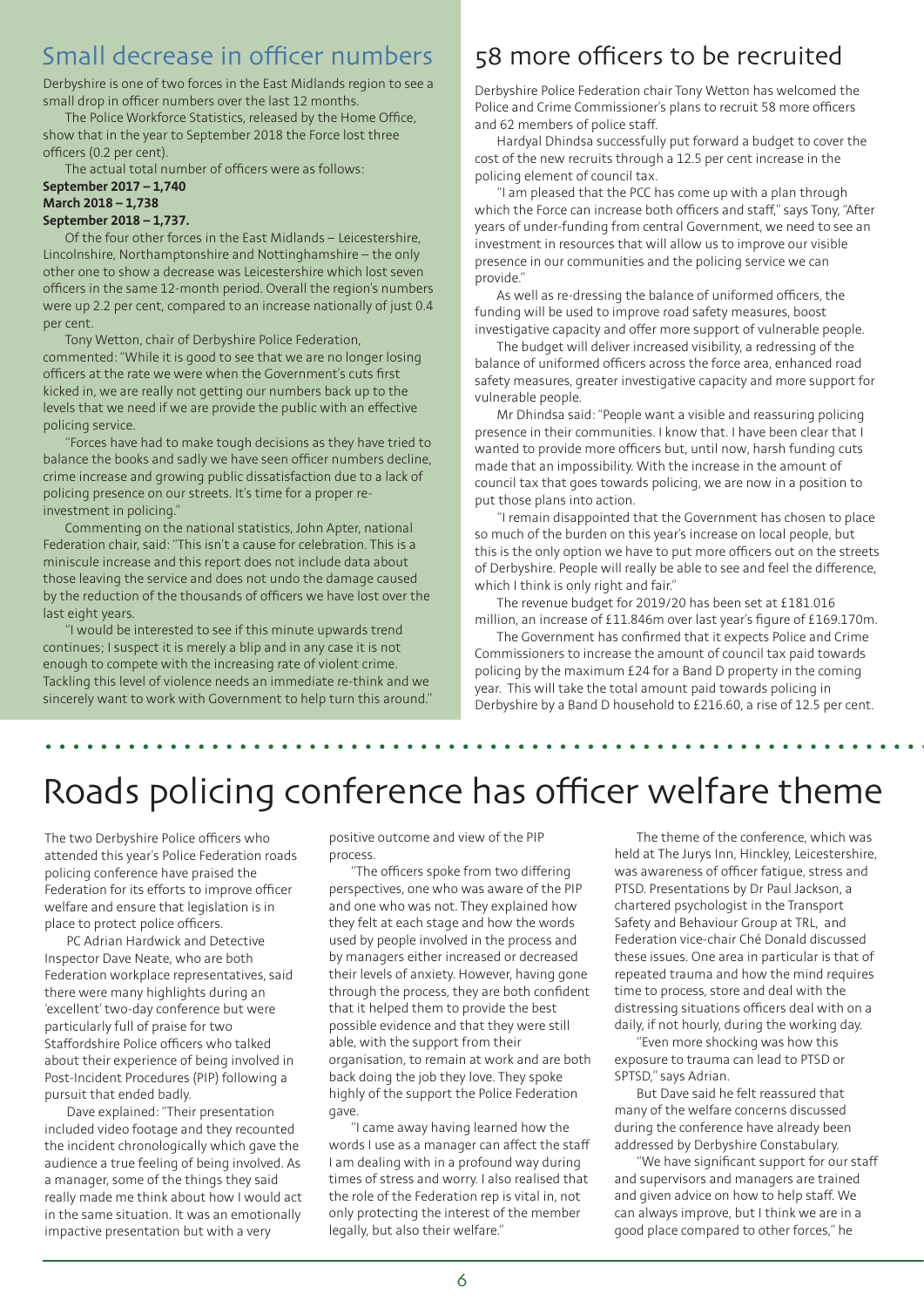### Small decrease in officer numbers 58 more officers to be recruited

Derbyshire is one of two forces in the East Midlands region to see a small drop in officer numbers over the last 12 months.

The Police Workforce Statistics, released by the Home Office, show that in the year to September 2018 the Force lost three officers (0.2 per cent).

The actual total number of officers were as follows:

#### **September 2017 – 1,740 March 2018 – 1,738 September 2018 – 1,737.**

Of the four other forces in the East Midlands – Leicestershire, Lincolnshire, Northamptonshire and Nottinghamshire – the only other one to show a decrease was Leicestershire which lost seven officers in the same 12-month period. Overall the region's numbers were up 2.2 per cent, compared to an increase nationally of just 0.4 per cent.

Tony Wetton, chair of Derbyshire Police Federation, commented: "While it is good to see that we are no longer losing officers at the rate we were when the Government's cuts first kicked in, we are really not getting our numbers back up to the levels that we need if we are provide the public with an effective policing service.

"Forces have had to make tough decisions as they have tried to balance the books and sadly we have seen officer numbers decline, crime increase and growing public dissatisfaction due to a lack of policing presence on our streets. It's time for a proper reinvestment in policing."

Commenting on the national statistics, John Apter, national Federation chair, said: "This isn't a cause for celebration. This is a miniscule increase and this report does not include data about those leaving the service and does not undo the damage caused by the reduction of the thousands of officers we have lost over the last eight years.

"I would be interested to see if this minute upwards trend continues; I suspect it is merely a blip and in any case it is not enough to compete with the increasing rate of violent crime. Tackling this level of violence needs an immediate re-think and we sincerely want to work with Government to help turn this around."

Derbyshire Police Federation chair Tony Wetton has welcomed the Police and Crime Commissioner's plans to recruit 58 more officers and 62 members of police staff.

Hardyal Dhindsa successfully put forward a budget to cover the cost of the new recruits through a 12.5 per cent increase in the policing element of council tax.

"I am pleased that the PCC has come up with a plan through which the Force can increase both officers and staff," says Tony, "After years of under-funding from central Government, we need to see an investment in resources that will allow us to improve our visible presence in our communities and the policing service we can provide."

As well as re-dressing the balance of uniformed officers, the funding will be used to improve road safety measures, boost investigative capacity and offer more support of vulnerable people.

The budget will deliver increased visibility, a redressing of the balance of uniformed officers across the force area, enhanced road safety measures, greater investigative capacity and more support for vulnerable people.

Mr Dhindsa said: "People want a visible and reassuring policing presence in their communities. I know that. I have been clear that I wanted to provide more officers but, until now, harsh funding cuts made that an impossibility. With the increase in the amount of council tax that goes towards policing, we are now in a position to put those plans into action.

"I remain disappointed that the Government has chosen to place so much of the burden on this year's increase on local people, but this is the only option we have to put more officers out on the streets of Derbyshire. People will really be able to see and feel the difference, which I think is only right and fair."

The revenue budget for 2019/20 has been set at £181.016 million, an increase of £11.846m over last year's figure of £169.170m.

The Government has confirmed that it expects Police and Crime Commissioners to increase the amount of council tax paid towards policing by the maximum £24 for a Band D property in the coming year. This will take the total amount paid towards policing in Derbyshire by a Band D household to £216.60, a rise of 12.5 per cent.

# Roads policing conference has officer welfare theme

The two Derbyshire Police officers who attended this year's Police Federation roads policing conference have praised the Federation for its efforts to improve officer welfare and ensure that legislation is in place to protect police officers.

PC Adrian Hardwick and Detective Inspector Dave Neate, who are both Federation workplace representatives, said there were many highlights during an 'excellent' two-day conference but were particularly full of praise for two Staffordshire Police officers who talked about their experience of being involved in Post-Incident Procedures (PIP) following a pursuit that ended badly.

Dave explained: "Their presentation included video footage and they recounted the incident chronologically which gave the audience a true feeling of being involved. As a manager, some of the things they said really made me think about how I would act in the same situation. It was an emotionally impactive presentation but with a very

positive outcome and view of the PIP process.

"The officers spoke from two differing perspectives, one who was aware of the PIP and one who was not. They explained how they felt at each stage and how the words used by people involved in the process and by managers either increased or decreased their levels of anxiety. However, having gone through the process, they are both confident that it helped them to provide the best possible evidence and that they were still able, with the support from their organisation, to remain at work and are both back doing the job they love. They spoke highly of the support the Police Federation gave.

"I came away having learned how the words I use as a manager can affect the staff I am dealing with in a profound way during times of stress and worry. I also realised that the role of the Federation rep is vital in, not only protecting the interest of the member legally, but also their welfare."

The theme of the conference, which was held at The Jurys Inn, Hinckley, Leicestershire, was awareness of officer fatigue, stress and PTSD. Presentations by Dr Paul Jackson, a chartered psychologist in the Transport Safety and Behaviour Group at TRL, and Federation vice-chair Ché Donald discussed these issues. One area in particular is that of repeated trauma and how the mind requires time to process, store and deal with the distressing situations officers deal with on a daily, if not hourly, during the working day.

"Even more shocking was how this exposure to trauma can lead to PTSD or SPTSD," says Adrian.

But Dave said he felt reassured that many of the welfare concerns discussed during the conference have already been addressed by Derbyshire Constabulary.

"We have significant support for our staff and supervisors and managers are trained and given advice on how to help staff. We can always improve, but I think we are in a good place compared to other forces," he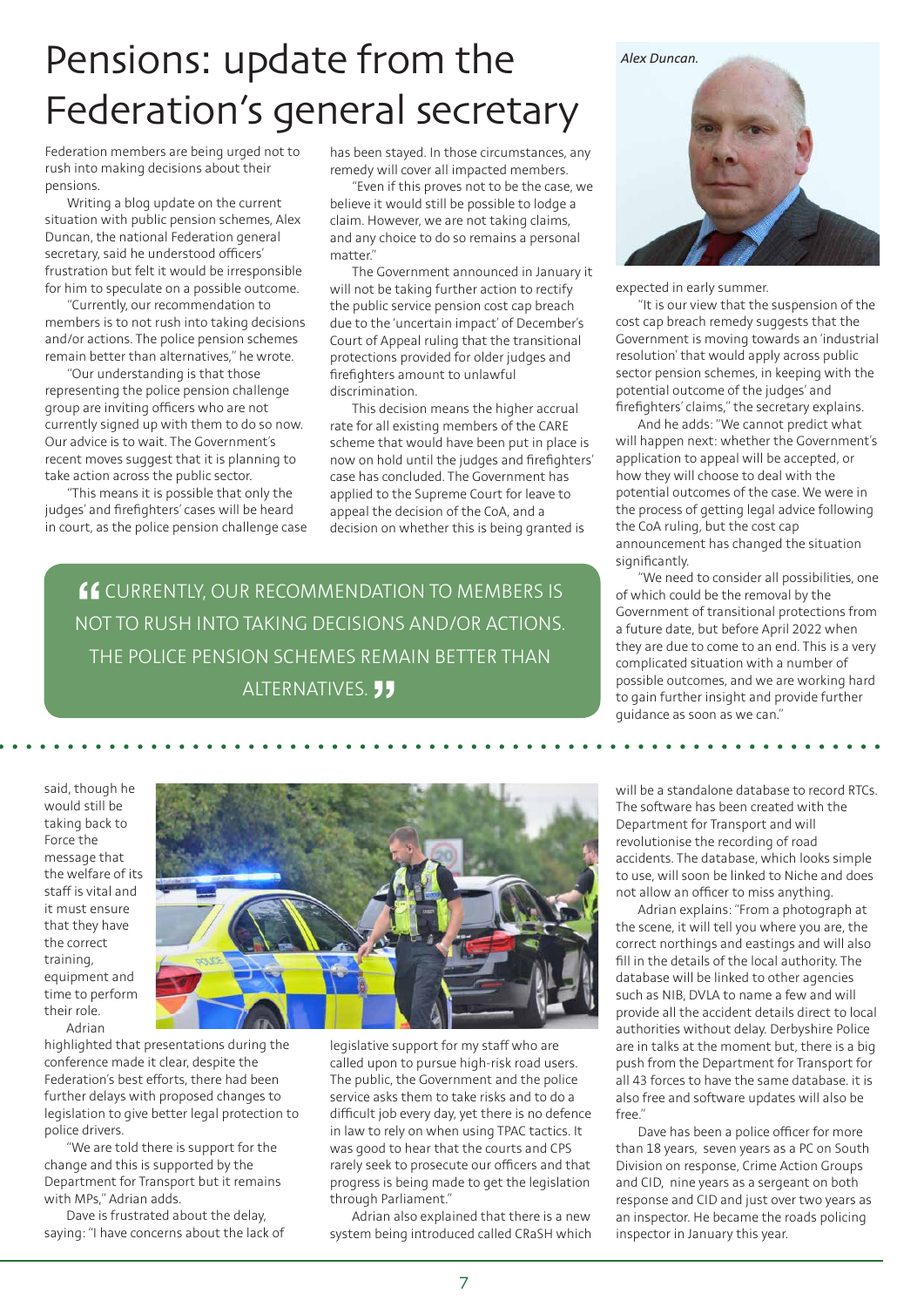## Pensions: update from the Federation's general secretary

Federation members are being urged not to rush into making decisions about their pensions.

Writing a blog update on the current situation with public pension schemes, Alex Duncan, the national Federation general secretary, said he understood officers' frustration but felt it would be irresponsible for him to speculate on a possible outcome.

"Currently, our recommendation to members is to not rush into taking decisions and/or actions. The police pension schemes remain better than alternatives," he wrote.

"Our understanding is that those representing the police pension challenge group are inviting officers who are not currently signed up with them to do so now. Our advice is to wait. The Government's recent moves suggest that it is planning to take action across the public sector.

"This means it is possible that only the judges' and firefighters' cases will be heard in court, as the police pension challenge case has been stayed. In those circumstances, any remedy will cover all impacted members.

"Even if this proves not to be the case, we believe it would still be possible to lodge a claim. However, we are not taking claims, and any choice to do so remains a personal matter."

The Government announced in January it will not be taking further action to rectify the public service pension cost cap breach due to the 'uncertain impact' of December's Court of Appeal ruling that the transitional protections provided for older judges and firefighters amount to unlawful discrimination.

This decision means the higher accrual rate for all existing members of the CARE scheme that would have been put in place is now on hold until the judges and firefighters' case has concluded. The Government has applied to the Supreme Court for leave to appeal the decision of the CoA, and a decision on whether this is being granted is

**"** CURRENTLY, OUR RECOMMENDATION TO MEMBERS IS NOT TO RUSH INTO TAKING DECISIONS AND/OR ACTIONS. THE POLICE PENSION SCHEMES REMAIN BETTER THAN ALTERNATIVES. **JJ** 



expected in early summer.

"It is our view that the suspension of the cost cap breach remedy suggests that the Government is moving towards an 'industrial resolution' that would apply across public sector pension schemes, in keeping with the potential outcome of the judges' and firefighters' claims," the secretary explains.

And he adds: "We cannot predict what will happen next: whether the Government's application to appeal will be accepted, or how they will choose to deal with the potential outcomes of the case. We were in the process of getting legal advice following the CoA ruling, but the cost cap announcement has changed the situation significantly.

"We need to consider all possibilities, one of which could be the removal by the Government of transitional protections from a future date, but before April 2022 when they are due to come to an end. This is a very complicated situation with a number of possible outcomes, and we are working hard to gain further insight and provide further guidance as soon as we can."

said, though he would still be taking back to Force the message that the welfare of its staff is vital and it must ensure that they have the correct training, equipment and time to perform their role. Adrian



highlighted that presentations during the conference made it clear, despite the Federation's best efforts, there had been further delays with proposed changes to legislation to give better legal protection to police drivers.

"We are told there is support for the change and this is supported by the Department for Transport but it remains with MPs," Adrian adds.

Dave is frustrated about the delay, saying: "I have concerns about the lack of legislative support for my staff who are called upon to pursue high-risk road users. The public, the Government and the police service asks them to take risks and to do a difficult job every day, yet there is no defence in law to rely on when using TPAC tactics. It was good to hear that the courts and CPS rarely seek to prosecute our officers and that progress is being made to get the legislation through Parliament."

Adrian also explained that there is a new system being introduced called CRaSH which will be a standalone database to record RTCs. The software has been created with the Department for Transport and will revolutionise the recording of road accidents. The database, which looks simple to use, will soon be linked to Niche and does not allow an officer to miss anything.

. . . . . . . . . . . . . .

Adrian explains: "From a photograph at the scene, it will tell you where you are, the correct northings and eastings and will also fill in the details of the local authority. The database will be linked to other agencies such as NIB, DVLA to name a few and will provide all the accident details direct to local authorities without delay. Derbyshire Police are in talks at the moment but, there is a big push from the Department for Transport for all 43 forces to have the same database. it is also free and software updates will also be free."

Dave has been a police officer for more than 18 years, seven years as a PC on South Division on response, Crime Action Groups and CID, nine years as a sergeant on both response and CID and just over two years as an inspector. He became the roads policing inspector in January this year.